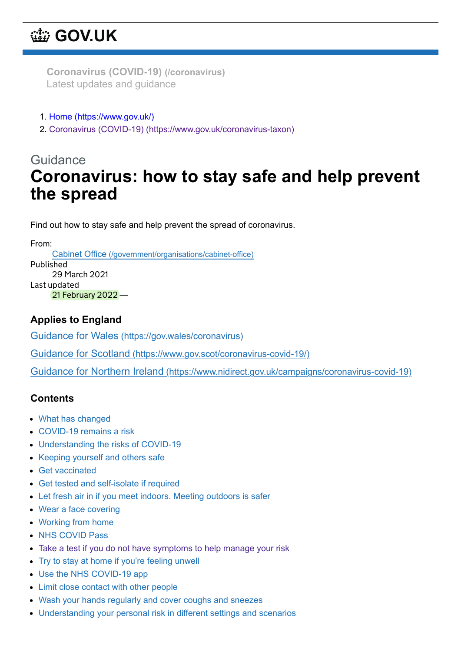# **[GOV.UK](https://www.gov.uk/)**

**[Coronavirus](https://www.gov.uk/coronavirus) (COVID-19) (/coronavirus)** Latest updates and guidance

- 1. [Home \(https://www.gov.uk/\)](https://www.gov.uk/)
- 2. [Coronavirus \(COVID-19\) \(https://www.gov.uk/coronavirus-taxon\)](https://www.gov.uk/coronavirus-taxon)

# Guidance **Coronavirus: how to stay safe and help prevent the spread**

Find out how to stay safe and help prevent the spread of coronavirus.

From:

Cabinet Office [\(/government/organisations/cabinet-office\)](https://www.gov.uk/government/organisations/cabinet-office) Published 29 March 2021 Last updated 21 February 2022 —

# **Applies to England**

Guidance for Wales [\(https://gov.wales/coronavirus\)](https://gov.wales/coronavirus)

Guidance for Scotland [\(https://www.gov.scot/coronavirus-covid-19/\)](https://www.gov.scot/coronavirus-covid-19/)

Guidance for Northern Ireland [\(https://www.nidirect.gov.uk/campaigns/coronavirus-covid-19\)](https://www.nidirect.gov.uk/campaigns/coronavirus-covid-19)

## **Contents**

- [What has changed](#page-1-0)
- [COVID-19 remains a risk](#page-1-1)
- [Understanding the risks of COVID-19](#page-1-2)
- [Keeping yourself and others safe](#page-2-0)
- [Get vaccinated](#page-2-1)
- [Get tested and self-isolate if required](#page-2-2)
- [Let fresh air in if you meet indoors. Meeting outdoors is safer](#page-4-0)
- [Wear a face covering](#page-5-0)
- [Working from home](#page-5-1)
- [NHS COVID Pass](#page-5-2)
- [Take a test if you do not have symptoms to help manage your risk](#page-5-3)
- [Try to stay at home if you're feeling unwell](#page-6-0)
- [Use the NHS COVID-19 app](#page-6-1)
- [Limit close contact with other people](#page-6-2)
- [Wash your hands regularly and cover coughs and sneezes](#page-6-3)
- [Understanding your personal risk in different settings and scenarios](#page-7-0)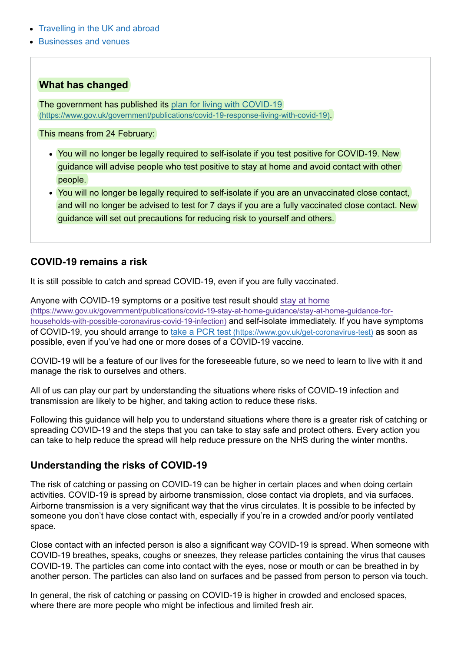- [Travelling in the UK and abroad](#page-7-1)
- [Businesses and venues](#page-8-0)

#### <span id="page-1-0"></span>**What has changed**

The government has published its plan for living with COVID-19 [\(https://www.gov.uk/government/publications/covid-19-response-living-with-covid-19\)](https://www.gov.uk/government/publications/covid-19-response-living-with-covid-19).

This means from 24 February:

- You will no longer be legally required to self-isolate if you test positive for COVID-19. New guidance will advise people who test positive to stay at home and avoid contact with other people.
- You will no longer be legally required to self-isolate if you are an unvaccinated close contact, and will no longer be advised to test for 7 days if you are a fully vaccinated close contact. New guidance will set out precautions for reducing risk to yourself and others.

#### <span id="page-1-1"></span>**COVID-19 remains a risk**

It is still possible to catch and spread COVID-19, even if you are fully vaccinated.

Anyone with COVID-19 symptoms or a positive test result should stay at home [\(https://www.gov.uk/government/publications/covid-19-stay-at-home-guidance/stay-at-home-guidance-for](https://www.gov.uk/government/publications/covid-19-stay-at-home-guidance/stay-at-home-guidance-for-households-with-possible-coronavirus-covid-19-infection)households-with-possible-coronavirus-covid-19-infection) and self-isolate immediately. If you have symptoms of COVID-19, you should arrange to take a PCR test [\(https://www.gov.uk/get-coronavirus-test\)](https://www.gov.uk/get-coronavirus-test) as soon as possible, even if you've had one or more doses of a COVID-19 vaccine.

COVID-19 will be a feature of our lives for the foreseeable future, so we need to learn to live with it and manage the risk to ourselves and others.

All of us can play our part by understanding the situations where risks of COVID-19 infection and transmission are likely to be higher, and taking action to reduce these risks.

Following this guidance will help you to understand situations where there is a greater risk of catching or spreading COVID-19 and the steps that you can take to stay safe and protect others. Every action you can take to help reduce the spread will help reduce pressure on the NHS during the winter months.

#### <span id="page-1-2"></span>**Understanding the risks of COVID-19**

The risk of catching or passing on COVID-19 can be higher in certain places and when doing certain activities. COVID-19 is spread by airborne transmission, close contact via droplets, and via surfaces. Airborne transmission is a very significant way that the virus circulates. It is possible to be infected by someone you don't have close contact with, especially if you're in a crowded and/or poorly ventilated space.

Close contact with an infected person is also a significant way COVID-19 is spread. When someone with COVID-19 breathes, speaks, coughs or sneezes, they release particles containing the virus that causes COVID-19. The particles can come into contact with the eyes, nose or mouth or can be breathed in by another person. The particles can also land on surfaces and be passed from person to person via touch.

In general, the risk of catching or passing on COVID-19 is higher in crowded and enclosed spaces, where there are more people who might be infectious and limited fresh air.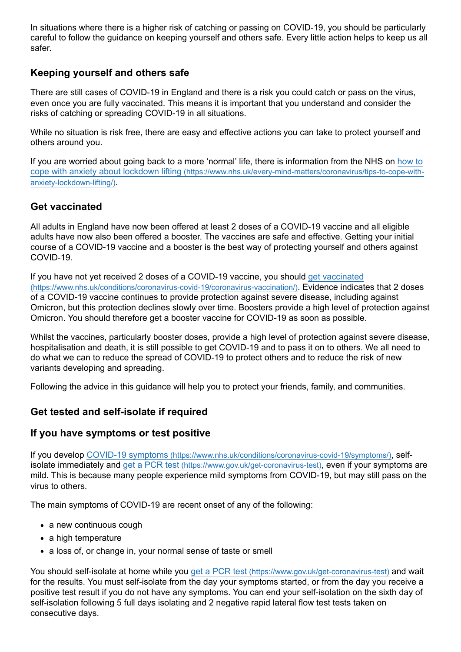In situations where there is a higher risk of catching or passing on COVID-19, you should be particularly careful to follow the guidance on keeping yourself and others safe. Every little action helps to keep us all safer.

## <span id="page-2-0"></span>**Keeping yourself and others safe**

There are still cases of COVID-19 in England and there is a risk you could catch or pass on the virus, even once you are fully vaccinated. This means it is important that you understand and consider the risks of catching or spreading COVID-19 in all situations.

While no situation is risk free, there are easy and effective actions you can take to protect yourself and others around you.

[If you are worried about going back to a more 'normal' life, there is information from the NHS on how to](https://www.nhs.uk/every-mind-matters/coronavirus/tips-to-cope-with-anxiety-lockdown-lifting/) cope with anxiety about lockdown lifting (https://www.nhs.uk/every-mind-matters/coronavirus/tips-to-cope-withanxiety-lockdown-lifting/).

#### <span id="page-2-1"></span>**Get vaccinated**

All adults in England have now been offered at least 2 doses of a COVID-19 vaccine and all eligible adults have now also been offered a booster. The vaccines are safe and effective. Getting your initial course of a COVID-19 vaccine and a booster is the best way of protecting yourself and others against COVID-19.

[If you have not yet received 2 doses of a COVID-19 vaccine, you should get vaccinated](https://www.nhs.uk/conditions/coronavirus-covid-19/coronavirus-vaccination/) (https://www.nhs.uk/conditions/coronavirus-covid-19/coronavirus-vaccination/). Evidence indicates that 2 doses of a COVID-19 vaccine continues to provide protection against severe disease, including against Omicron, but this protection declines slowly over time. Boosters provide a high level of protection against Omicron. You should therefore get a booster vaccine for COVID-19 as soon as possible.

Whilst the vaccines, particularly booster doses, provide a high level of protection against severe disease, hospitalisation and death, it is still possible to get COVID-19 and to pass it on to others. We all need to do what we can to reduce the spread of COVID-19 to protect others and to reduce the risk of new variants developing and spreading.

Following the advice in this guidance will help you to protect your friends, family, and communities.

## <span id="page-2-2"></span>**Get tested and self-isolate if required**

#### **If you have symptoms or test positive**

If you develop COVID-19 symptoms [\(https://www.nhs.uk/conditions/coronavirus-covid-19/symptoms/\)](https://www.nhs.uk/conditions/coronavirus-covid-19/symptoms/), selfisolate immediately and get a PCR test [\(https://www.gov.uk/get-coronavirus-test\)](https://www.gov.uk/get-coronavirus-test), even if your symptoms are mild. This is because many people experience mild symptoms from COVID-19, but may still pass on the virus to others.

The main symptoms of COVID-19 are recent onset of any of the following:

- a new continuous cough
- a high temperature
- a loss of, or change in, your normal sense of taste or smell

You should self-isolate at home while you get a PCR test [\(https://www.gov.uk/get-coronavirus-test\)](https://www.gov.uk/get-coronavirus-test) and wait for the results. You must self-isolate from the day your symptoms started, or from the day you receive a positive test result if you do not have any symptoms. You can end your self-isolation on the sixth day of self-isolation following 5 full days isolating and 2 negative rapid lateral flow test tests taken on consecutive days.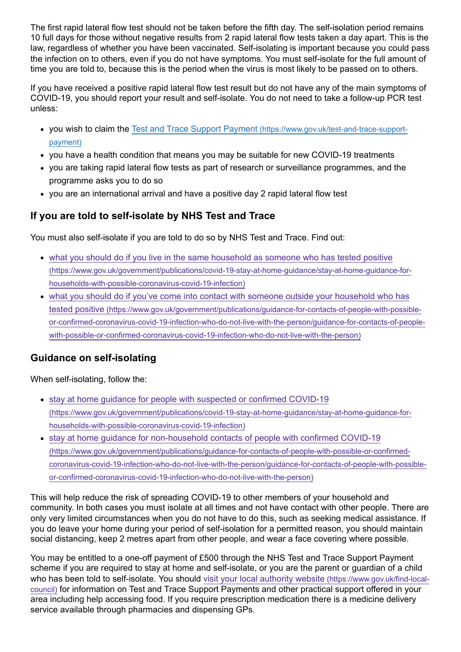The first rapid lateral flow test should not be taken before the fifth day. The self-isolation period remains 10 full days for those without negative results from 2 rapid lateral flow tests taken a day apart. This is the law, regardless of whether you have been vaccinated. Self-isolating is important because you could pass the infection on to others, even if you do not have symptoms. You must self-isolate for the full amount of time you are told to, because this is the period when the virus is most likely to be passed on to others.

If you have received a positive rapid lateral flow test result but do not have any of the main symptoms of COVID-19, you should report your result and self-isolate. You do not need to take a follow-up PCR test unless:

- [you wish to claim the Test and Trace Support Payment](https://www.gov.uk/test-and-trace-support-payment) (https://www.gov.uk/test-and-trace-supportpayment)
- you have a health condition that means you may be suitable for new COVID-19 treatments
- you are taking rapid lateral flow tests as part of research or surveillance programmes, and the programme asks you to do so
- you are an international arrival and have a positive day 2 rapid lateral flow test

## **If you are told to self-isolate by NHS Test and Trace**

You must also self-isolate if you are told to do so by NHS Test and Trace. Find out:

- [what you should do if you live in the same household as someone who has tested positive](https://www.gov.uk/government/publications/covid-19-stay-at-home-guidance/stay-at-home-guidance-for-households-with-possible-coronavirus-covid-19-infection) (https://www.gov.uk/government/publications/covid-19-stay-at-home-guidance/stay-at-home-guidance-forhouseholds-with-possible-coronavirus-covid-19-infection)
- [what you should do if you've come into contact with someone outside your household who has](https://www.gov.uk/government/publications/guidance-for-contacts-of-people-with-possible-or-confirmed-coronavirus-covid-19-infection-who-do-not-live-with-the-person/guidance-for-contacts-of-people-with-possible-or-confirmed-coronavirus-covid-19-infection-who-do-not-live-with-the-person) tested positive (https://www.gov.uk/government/publications/guidance-for-contacts-of-people-with-possibleor-confirmed-coronavirus-covid-19-infection-who-do-not-live-with-the-person/guidance-for-contacts-of-peoplewith-possible-or-confirmed-coronavirus-covid-19-infection-who-do-not-live-with-the-person)

## **Guidance on self-isolating**

When self-isolating, follow the:

- stay at home guidance for people with suspected or confirmed COVID-19 [\(https://www.gov.uk/government/publications/covid-19-stay-at-home-guidance/stay-at-home-guidance-for](https://www.gov.uk/government/publications/covid-19-stay-at-home-guidance/stay-at-home-guidance-for-households-with-possible-coronavirus-covid-19-infection)households-with-possible-coronavirus-covid-19-infection)
- stay at home guidance for non-household contacts of people with confirmed COVID-19 (https://www.gov.uk/government/publications/guidance-for-contacts-of-people-with-possible-or-confirmed[coronavirus-covid-19-infection-who-do-not-live-with-the-person/guidance-for-contacts-of-people-with-possible](https://www.gov.uk/government/publications/guidance-for-contacts-of-people-with-possible-or-confirmed-coronavirus-covid-19-infection-who-do-not-live-with-the-person/guidance-for-contacts-of-people-with-possible-or-confirmed-coronavirus-covid-19-infection-who-do-not-live-with-the-person)or-confirmed-coronavirus-covid-19-infection-who-do-not-live-with-the-person)

This will help reduce the risk of spreading COVID-19 to other members of your household and community. In both cases you must isolate at all times and not have contact with other people. There are only very limited circumstances when you do not have to do this, such as seeking medical assistance. If you do leave your home during your period of self-isolation for a permitted reason, you should maintain social distancing, keep 2 metres apart from other people, and wear a face covering where possible.

You may be entitled to a one-off payment of £500 through the NHS Test and Trace Support Payment scheme if you are required to stay at home and self-isolate, or you are the parent or guardian of a child who has been told to self-isolate. You should visit your local authority website (https://www.gov.uk/find-localcouncil) [for information on Test and Trace Support Payments and other practical support offered in your](https://www.gov.uk/find-local-council) area including help accessing food. If you require prescription medication there is a medicine delivery service available through pharmacies and dispensing GPs.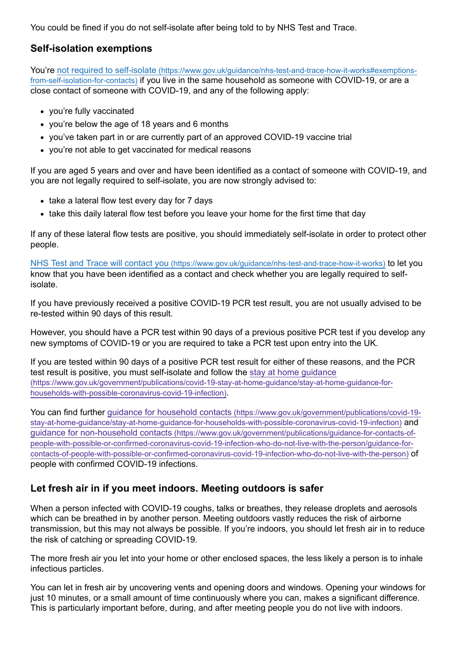You could be fined if you do not self-isolate after being told to by NHS Test and Trace.

## **Self-isolation exemptions**

You're not required to self-isolate (https://www.gov.uk/guidance/nhs-test-and-trace-how-it-works#exemptionsfrom-self-isolation-for-contacts) [if you live in the same household as someone with COVID-19, or are a](https://www.gov.uk/guidance/nhs-test-and-trace-how-it-works#exemptions-from-self-isolation-for-contacts) close contact of someone with COVID-19, and any of the following apply:

- you're fully vaccinated
- you're below the age of 18 years and 6 months
- you've taken part in or are currently part of an approved COVID-19 vaccine trial
- you're not able to get vaccinated for medical reasons

If you are aged 5 years and over and have been identified as a contact of someone with COVID-19, and you are not legally required to self-isolate, you are now strongly advised to:

- take a lateral flow test every day for 7 days
- take this daily lateral flow test before you leave your home for the first time that day

If any of these lateral flow tests are positive, you should immediately self-isolate in order to protect other people.

NHS Test and Trace will contact you [\(https://www.gov.uk/guidance/nhs-test-and-trace-how-it-works\)](https://www.gov.uk/guidance/nhs-test-and-trace-how-it-works) to let you know that you have been identified as a contact and check whether you are legally required to selfisolate.

If you have previously received a positive COVID-19 PCR test result, you are not usually advised to be re-tested within 90 days of this result.

However, you should have a PCR test within 90 days of a previous positive PCR test if you develop any new symptoms of COVID-19 or you are required to take a PCR test upon entry into the UK.

If you are tested within 90 days of a positive PCR test result for either of these reasons, and the PCR test result is positive, you must self-isolate and follow the stay at home guidance [\(https://www.gov.uk/government/publications/covid-19-stay-at-home-guidance/stay-at-home-guidance-for](https://www.gov.uk/government/publications/covid-19-stay-at-home-guidance/stay-at-home-guidance-for-households-with-possible-coronavirus-covid-19-infection)households-with-possible-coronavirus-covid-19-infection).

You can find further guidance for household contacts (https://www.gov.uk/government/publications/covid-19 [stay-at-home-guidance/stay-at-home-guidance-for-households-with-possible-coronavirus-covid-19-infection\)](https://www.gov.uk/government/publications/covid-19-stay-at-home-guidance/stay-at-home-guidance-for-households-with-possible-coronavirus-covid-19-infection) and guidance for non-household contacts (https://www.gov.uk/government/publications/guidance-for-contacts-of[people-with-possible-or-confirmed-coronavirus-covid-19-infection-who-do-not-live-with-the-person/guidance-for](https://www.gov.uk/government/publications/guidance-for-contacts-of-people-with-possible-or-confirmed-coronavirus-covid-19-infection-who-do-not-live-with-the-person/guidance-for-contacts-of-people-with-possible-or-confirmed-coronavirus-covid-19-infection-who-do-not-live-with-the-person)contacts-of-people-with-possible-or-confirmed-coronavirus-covid-19-infection-who-do-not-live-with-the-person) of people with confirmed COVID-19 infections.

## <span id="page-4-0"></span>**Let fresh air in if you meet indoors. Meeting outdoors is safer**

When a person infected with COVID-19 coughs, talks or breathes, they release droplets and aerosols which can be breathed in by another person. Meeting outdoors vastly reduces the risk of airborne transmission, but this may not always be possible. If you're indoors, you should let fresh air in to reduce the risk of catching or spreading COVID-19.

The more fresh air you let into your home or other enclosed spaces, the less likely a person is to inhale infectious particles.

You can let in fresh air by uncovering vents and opening doors and windows. Opening your windows for just 10 minutes, or a small amount of time continuously where you can, makes a significant difference. This is particularly important before, during, and after meeting people you do not live with indoors.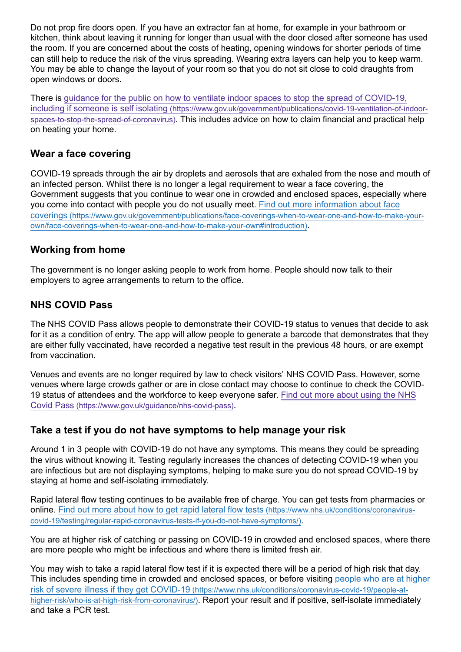Do not prop fire doors open. If you have an extractor fan at home, for example in your bathroom or kitchen, think about leaving it running for longer than usual with the door closed after someone has used the room. If you are concerned about the costs of heating, opening windows for shorter periods of time can still help to reduce the risk of the virus spreading. Wearing extra layers can help you to keep warm. You may be able to change the layout of your room so that you do not sit close to cold draughts from open windows or doors.

[There is guidance for the public on how to ventilate indoor spaces to stop the spread of COVID-19,](https://www.gov.uk/government/publications/covid-19-ventilation-of-indoor-spaces-to-stop-the-spread-of-coronavirus) including if someone is self isolating (https://www.gov.uk/government/publications/covid-19-ventilation-of-indoorspaces-to-stop-the-spread-of-coronavirus). This includes advice on how to claim financial and practical help on heating your home.

#### <span id="page-5-0"></span>**Wear a face covering**

COVID-19 spreads through the air by droplets and aerosols that are exhaled from the nose and mouth of an infected person. Whilst there is no longer a legal requirement to wear a face covering, the Government suggests that you continue to wear one in crowded and enclosed spaces, especially where [you come into contact with people you do not usually meet. Find out more information about face](https://www.gov.uk/government/publications/face-coverings-when-to-wear-one-and-how-to-make-your-own/face-coverings-when-to-wear-one-and-how-to-make-your-own#introduction) coverings (https://www.gov.uk/government/publications/face-coverings-when-to-wear-one-and-how-to-make-yourown/face-coverings-when-to-wear-one-and-how-to-make-your-own#introduction).

## <span id="page-5-1"></span>**Working from home**

The government is no longer asking people to work from home. People should now talk to their employers to agree arrangements to return to the office.

## <span id="page-5-2"></span>**NHS COVID Pass**

The NHS COVID Pass allows people to demonstrate their COVID-19 status to venues that decide to ask for it as a condition of entry. The app will allow people to generate a barcode that demonstrates that they are either fully vaccinated, have recorded a negative test result in the previous 48 hours, or are exempt from vaccination.

Venues and events are no longer required by law to check visitors' NHS COVID Pass. However, some venues where large crowds gather or are in close contact may choose to continue to check the COVID-[19 status of attendees and the workforce to keep everyone safer. Find out more about using the NHS](https://www.gov.uk/guidance/nhs-covid-pass) Covid Pass (https://www.gov.uk/guidance/nhs-covid-pass).

## <span id="page-5-3"></span>**Take a test if you do not have symptoms to help manage your risk**

Around 1 in 3 people with COVID-19 do not have any symptoms. This means they could be spreading the virus without knowing it. Testing regularly increases the chances of detecting COVID-19 when you are infectious but are not displaying symptoms, helping to make sure you do not spread COVID-19 by staying at home and self-isolating immediately.

Rapid lateral flow testing continues to be available free of charge. You can get tests from pharmacies or online. Find out more about how to get rapid lateral flow tests (https://www.nhs.uk/conditions/coronavirus[covid-19/testing/regular-rapid-coronavirus-tests-if-you-do-not-have-symptoms/\)](https://www.nhs.uk/conditions/coronavirus-covid-19/testing/regular-rapid-coronavirus-tests-if-you-do-not-have-symptoms/).

You are at higher risk of catching or passing on COVID-19 in crowded and enclosed spaces, where there are more people who might be infectious and where there is limited fresh air.

You may wish to take a rapid lateral flow test if it is expected there will be a period of high risk that day. [This includes spending time in crowded and enclosed spaces, or before visiting people who are at higher](https://www.nhs.uk/conditions/coronavirus-covid-19/people-at-higher-risk/who-is-at-high-risk-from-coronavirus/) risk of severe illness if they get COVID-19 (https://www.nhs.uk/conditions/coronavirus-covid-19/people-athigher-risk/who-is-at-high-risk-from-coronavirus/). Report your result and if positive, self-isolate immediately and take a PCR test.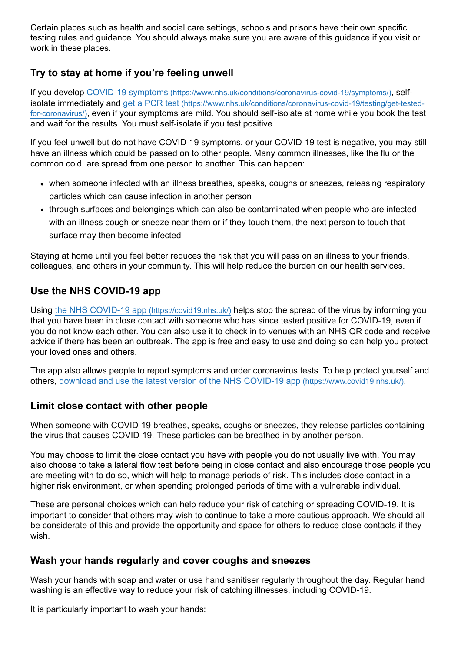Certain places such as health and social care settings, schools and prisons have their own specific testing rules and guidance. You should always make sure you are aware of this guidance if you visit or work in these places.

## <span id="page-6-0"></span>**Try to stay at home if you're feeling unwell**

If you develop COVID-19 symptoms [\(https://www.nhs.uk/conditions/coronavirus-covid-19/symptoms/\)](https://www.nhs.uk/conditions/coronavirus-covid-19/symptoms/), selfisolate immediately and get a PCR test (https://www.nhs.uk/conditions/coronavirus-covid-19/testing/get-testedfor-coronavirus/)[, even if your symptoms are mild. You should self-isolate at home while you book the test](https://www.nhs.uk/conditions/coronavirus-covid-19/testing/get-tested-for-coronavirus/) and wait for the results. You must self-isolate if you test positive.

If you feel unwell but do not have COVID-19 symptoms, or your COVID-19 test is negative, you may still have an illness which could be passed on to other people. Many common illnesses, like the flu or the common cold, are spread from one person to another. This can happen:

- when someone infected with an illness breathes, speaks, coughs or sneezes, releasing respiratory particles which can cause infection in another person
- through surfaces and belongings which can also be contaminated when people who are infected with an illness cough or sneeze near them or if they touch them, the next person to touch that surface may then become infected

Staying at home until you feel better reduces the risk that you will pass on an illness to your friends, colleagues, and others in your community. This will help reduce the burden on our health services.

## <span id="page-6-1"></span>**Use the NHS COVID-19 app**

Using [the NHS COVID-19 app](https://covid19.nhs.uk/) (https://covid19.nhs.uk/) helps stop the spread of the virus by informing you that you have been in close contact with someone who has since tested positive for COVID-19, even if you do not know each other. You can also use it to check in to venues with an NHS QR code and receive advice if there has been an outbreak. The app is free and easy to use and doing so can help you protect your loved ones and others.

The app also allows people to report symptoms and order coronavirus tests. To help protect yourself and others, [download and use the latest version of the NHS COVID-19 app](https://www.covid19.nhs.uk/) (https://www.covid19.nhs.uk/).

## <span id="page-6-2"></span>**Limit close contact with other people**

When someone with COVID-19 breathes, speaks, coughs or sneezes, they release particles containing the virus that causes COVID-19. These particles can be breathed in by another person.

You may choose to limit the close contact you have with people you do not usually live with. You may also choose to take a lateral flow test before being in close contact and also encourage those people you are meeting with to do so, which will help to manage periods of risk. This includes close contact in a higher risk environment, or when spending prolonged periods of time with a vulnerable individual.

These are personal choices which can help reduce your risk of catching or spreading COVID-19. It is important to consider that others may wish to continue to take a more cautious approach. We should all be considerate of this and provide the opportunity and space for others to reduce close contacts if they wish.

#### <span id="page-6-3"></span>**Wash your hands regularly and cover coughs and sneezes**

Wash your hands with soap and water or use hand sanitiser regularly throughout the day. Regular hand washing is an effective way to reduce your risk of catching illnesses, including COVID-19.

It is particularly important to wash your hands: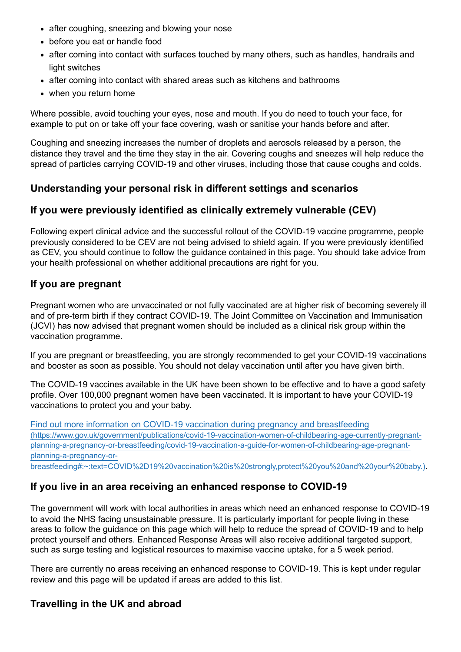- after coughing, sneezing and blowing your nose
- before you eat or handle food
- after coming into contact with surfaces touched by many others, such as handles, handrails and light switches
- after coming into contact with shared areas such as kitchens and bathrooms
- when you return home

Where possible, avoid touching your eyes, nose and mouth. If you do need to touch your face, for example to put on or take off your face covering, wash or sanitise your hands before and after.

Coughing and sneezing increases the number of droplets and aerosols released by a person, the distance they travel and the time they stay in the air. Covering coughs and sneezes will help reduce the spread of particles carrying COVID-19 and other viruses, including those that cause coughs and colds.

#### <span id="page-7-0"></span>**Understanding your personal risk in different settings and scenarios**

#### **If you were previously identified as clinically extremely vulnerable (CEV)**

Following expert clinical advice and the successful rollout of the COVID-19 vaccine programme, people previously considered to be CEV are not being advised to shield again. If you were previously identified as CEV, you should continue to follow the guidance contained in this page. You should take advice from your health professional on whether additional precautions are right for you.

#### **If you are pregnant**

Pregnant women who are unvaccinated or not fully vaccinated are at higher risk of becoming severely ill and of pre-term birth if they contract COVID-19. The Joint Committee on Vaccination and Immunisation (JCVI) has now advised that pregnant women should be included as a clinical risk group within the vaccination programme.

If you are pregnant or breastfeeding, you are strongly recommended to get your COVID-19 vaccinations and booster as soon as possible. You should not delay vaccination until after you have given birth.

The COVID-19 vaccines available in the UK have been shown to be effective and to have a good safety profile. Over 100,000 pregnant women have been vaccinated. It is important to have your COVID-19 vaccinations to protect you and your baby.

Find out more information on COVID-19 vaccination during pregnancy and breastfeeding (https://www.gov.uk/government/publications/covid-19-vaccination-women-of-childbearing-age-currently-pregnantplanning-a-pregnancy-or-breastfeeding/covid-19-vaccination-a-guide-for-women-of-childbearing-age-pregnantplanning-a-pregnancy-or-

[breastfeeding#:~:text=COVID%2D19%20vaccination%20is%20strongly,protect%20you%20and%20your%20baby.\)](https://www.gov.uk/government/publications/covid-19-vaccination-women-of-childbearing-age-currently-pregnant-planning-a-pregnancy-or-breastfeeding/covid-19-vaccination-a-guide-for-women-of-childbearing-age-pregnant-planning-a-pregnancy-or-breastfeeding#:~:text=COVID%2D19%20vaccination%20is%20strongly,protect%20you%20and%20your%20baby.).

#### **If you live in an area receiving an enhanced response to COVID-19**

The government will work with local authorities in areas which need an enhanced response to COVID-19 to avoid the NHS facing unsustainable pressure. It is particularly important for people living in these areas to follow the guidance on this page which will help to reduce the spread of COVID-19 and to help protect yourself and others. Enhanced Response Areas will also receive additional targeted support, such as surge testing and logistical resources to maximise vaccine uptake, for a 5 week period.

There are currently no areas receiving an enhanced response to COVID-19. This is kept under regular review and this page will be updated if areas are added to this list.

#### <span id="page-7-1"></span>**Travelling in the UK and abroad**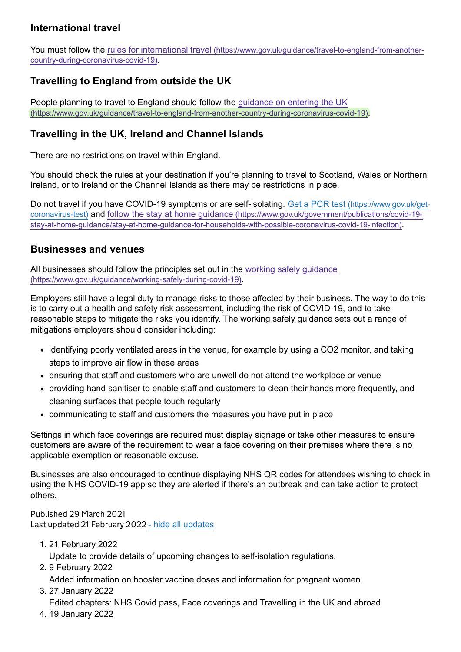## **International travel**

You must follow the rules for international travel [\(https://www.gov.uk/guidance/travel-to-england-from-another](https://www.gov.uk/guidance/travel-to-england-from-another-country-during-coronavirus-covid-19)country-during-coronavirus-covid-19).

## **Travelling to England from outside the UK**

[People planning to travel to England should follow the guidance on entering the UK](https://www.gov.uk/guidance/travel-to-england-from-another-country-during-coronavirus-covid-19) (https://www.gov.uk/guidance/travel-to-england-from-another-country-during-coronavirus-covid-19).

## **Travelling in the UK, Ireland and Channel Islands**

There are no restrictions on travel within England.

You should check the rules at your destination if you're planning to travel to Scotland, Wales or Northern Ireland, or to Ireland or the Channel Islands as there may be restrictions in place.

[Do not travel if you have COVID-19 symptoms or are self-isolating. Get a PCR test](https://www.gov.uk/get-coronavirus-test) (https://www.gov.uk/getcoronavirus-test) and follow the stay at home guidance (https://www.gov.uk/government/publications/covid-19 [stay-at-home-guidance/stay-at-home-guidance-for-households-with-possible-coronavirus-covid-19-infection\)](https://www.gov.uk/government/publications/covid-19-stay-at-home-guidance/stay-at-home-guidance-for-households-with-possible-coronavirus-covid-19-infection).

#### <span id="page-8-0"></span>**Businesses and venues**

[All businesses should follow the principles set out in the working safely guidance](https://www.gov.uk/guidance/working-safely-during-covid-19) (https://www.gov.uk/guidance/working-safely-during-covid-19).

Employers still have a legal duty to manage risks to those affected by their business. The way to do this is to carry out a health and safety risk assessment, including the risk of COVID-19, and to take reasonable steps to mitigate the risks you identify. The working safely guidance sets out a range of mitigations employers should consider including:

- identifying poorly ventilated areas in the venue, for example by using a CO2 monitor, and taking steps to improve air flow in these areas
- ensuring that staff and customers who are unwell do not attend the workplace or venue
- providing hand sanitiser to enable staff and customers to clean their hands more frequently, and cleaning surfaces that people touch regularly
- communicating to staff and customers the measures you have put in place

Settings in which face coverings are required must display signage or take other measures to ensure customers are aware of the requirement to wear a face covering on their premises where there is no applicable exemption or reasonable excuse.

Businesses are also encouraged to continue displaying NHS QR codes for attendees wishing to check in using the NHS COVID-19 app so they are alerted if there's an outbreak and can take action to protect others.

Published 29 March 2021 Last updated 21 February 2022 - [hide all updates](#page-8-1)

- <span id="page-8-1"></span>1. 21 February 2022
	- Update to provide details of upcoming changes to self-isolation regulations.
- 2. 9 February 2022 Added information on booster vaccine doses and information for pregnant women.
- 3. 27 January 2022

Edited chapters: NHS Covid pass, Face coverings and Travelling in the UK and abroad

4. 19 January 2022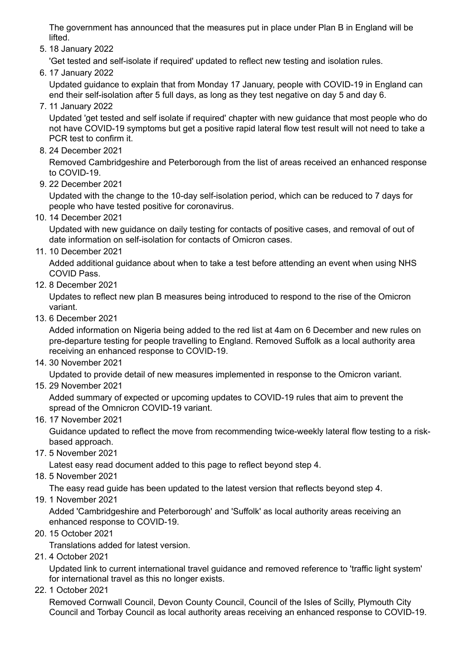The government has announced that the measures put in place under Plan B in England will be lifted.

5. 18 January 2022

'Get tested and self-isolate if required' updated to reflect new testing and isolation rules.

6. 17 January 2022

Updated guidance to explain that from Monday 17 January, people with COVID-19 in England can end their self-isolation after 5 full days, as long as they test negative on day 5 and day 6.

7. 11 January 2022

Updated 'get tested and self isolate if required' chapter with new guidance that most people who do not have COVID-19 symptoms but get a positive rapid lateral flow test result will not need to take a PCR test to confirm it.

8. 24 December 2021

Removed Cambridgeshire and Peterborough from the list of areas received an enhanced response to COVID-19.

9. 22 December 2021

Updated with the change to the 10-day self-isolation period, which can be reduced to 7 days for people who have tested positive for coronavirus.

10. 14 December 2021

Updated with new guidance on daily testing for contacts of positive cases, and removal of out of date information on self-isolation for contacts of Omicron cases.

11. 10 December 2021

Added additional guidance about when to take a test before attending an event when using NHS COVID Pass.

12. 8 December 2021

Updates to reflect new plan B measures being introduced to respond to the rise of the Omicron variant.

13. 6 December 2021

Added information on Nigeria being added to the red list at 4am on 6 December and new rules on pre-departure testing for people travelling to England. Removed Suffolk as a local authority area receiving an enhanced response to COVID-19.

14. 30 November 2021

Updated to provide detail of new measures implemented in response to the Omicron variant.

15. 29 November 2021

Added summary of expected or upcoming updates to COVID-19 rules that aim to prevent the spread of the Omnicron COVID-19 variant.

16. 17 November 2021

Guidance updated to reflect the move from recommending twice-weekly lateral flow testing to a riskbased approach.

17. 5 November 2021

Latest easy read document added to this page to reflect beyond step 4.

18. 5 November 2021

The easy read guide has been updated to the latest version that reflects beyond step 4.

19. 1 November 2021

Added 'Cambridgeshire and Peterborough' and 'Suffolk' as local authority areas receiving an enhanced response to COVID-19.

20. 15 October 2021

Translations added for latest version.

21. 4 October 2021

Updated link to current international travel guidance and removed reference to 'traffic light system' for international travel as this no longer exists.

22. 1 October 2021

Removed Cornwall Council, Devon County Council, Council of the Isles of Scilly, Plymouth City Council and Torbay Council as local authority areas receiving an enhanced response to COVID-19.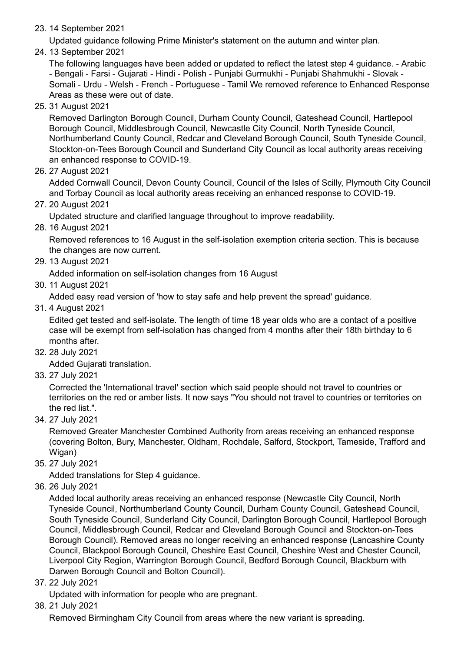#### 23. 14 September 2021

Updated guidance following Prime Minister's statement on the autumn and winter plan.

24. 13 September 2021

The following languages have been added or updated to reflect the latest step 4 guidance. - Arabic - Bengali - Farsi - Gujarati - Hindi - Polish - Punjabi Gurmukhi - Punjabi Shahmukhi - Slovak - Somali - Urdu - Welsh - French - Portuguese - Tamil We removed reference to Enhanced Response Areas as these were out of date.

25. 31 August 2021

Removed Darlington Borough Council, Durham County Council, Gateshead Council, Hartlepool Borough Council, Middlesbrough Council, Newcastle City Council, North Tyneside Council, Northumberland County Council, Redcar and Cleveland Borough Council, South Tyneside Council, Stockton-on-Tees Borough Council and Sunderland City Council as local authority areas receiving an enhanced response to COVID-19.

26. 27 August 2021

Added Cornwall Council, Devon County Council, Council of the Isles of Scilly, Plymouth City Council and Torbay Council as local authority areas receiving an enhanced response to COVID-19.

27. 20 August 2021

Updated structure and clarified language throughout to improve readability.

28. 16 August 2021

Removed references to 16 August in the self-isolation exemption criteria section. This is because the changes are now current.

29. 13 August 2021

Added information on self-isolation changes from 16 August

30. 11 August 2021

Added easy read version of 'how to stay safe and help prevent the spread' guidance.

31. 4 August 2021

Edited get tested and self-isolate. The length of time 18 year olds who are a contact of a positive case will be exempt from self-isolation has changed from 4 months after their 18th birthday to 6 months after.

32. 28 July 2021

Added Gujarati translation.

33. 27 July 2021

Corrected the 'International travel' section which said people should not travel to countries or territories on the red or amber lists. It now says "You should not travel to countries or territories on the red list.".

34. 27 July 2021

Removed Greater Manchester Combined Authority from areas receiving an enhanced response (covering Bolton, Bury, Manchester, Oldham, Rochdale, Salford, Stockport, Tameside, Trafford and Wigan)

35. 27 July 2021

Added translations for Step 4 guidance.

36. 26 July 2021

Added local authority areas receiving an enhanced response (Newcastle City Council, North Tyneside Council, Northumberland County Council, Durham County Council, Gateshead Council, South Tyneside Council, Sunderland City Council, Darlington Borough Council, Hartlepool Borough Council, Middlesbrough Council, Redcar and Cleveland Borough Council and Stockton-on-Tees Borough Council). Removed areas no longer receiving an enhanced response (Lancashire County Council, Blackpool Borough Council, Cheshire East Council, Cheshire West and Chester Council, Liverpool City Region, Warrington Borough Council, Bedford Borough Council, Blackburn with Darwen Borough Council and Bolton Council).

37. 22 July 2021

Updated with information for people who are pregnant.

38. 21 July 2021

Removed Birmingham City Council from areas where the new variant is spreading.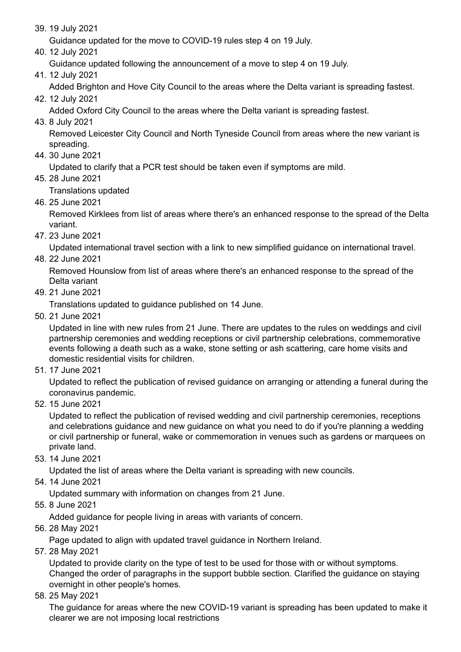39. 19 July 2021

Guidance updated for the move to COVID-19 rules step 4 on 19 July.

40. 12 July 2021

Guidance updated following the announcement of a move to step 4 on 19 July.

41. 12 July 2021

Added Brighton and Hove City Council to the areas where the Delta variant is spreading fastest.

42. 12 July 2021

Added Oxford City Council to the areas where the Delta variant is spreading fastest.

43. 8 July 2021

Removed Leicester City Council and North Tyneside Council from areas where the new variant is spreading.

44. 30 June 2021

Updated to clarify that a PCR test should be taken even if symptoms are mild.

45. 28 June 2021

Translations updated

46. 25 June 2021

Removed Kirklees from list of areas where there's an enhanced response to the spread of the Delta variant.

47. 23 June 2021

Updated international travel section with a link to new simplified guidance on international travel.

48. 22 June 2021

Removed Hounslow from list of areas where there's an enhanced response to the spread of the Delta variant

49. 21 June 2021

Translations updated to guidance published on 14 June.

50. 21 June 2021

Updated in line with new rules from 21 June. There are updates to the rules on weddings and civil partnership ceremonies and wedding receptions or civil partnership celebrations, commemorative events following a death such as a wake, stone setting or ash scattering, care home visits and domestic residential visits for children.

51. 17 June 2021

Updated to reflect the publication of revised guidance on arranging or attending a funeral during the coronavirus pandemic.

52. 15 June 2021

Updated to reflect the publication of revised wedding and civil partnership ceremonies, receptions and celebrations guidance and new guidance on what you need to do if you're planning a wedding or civil partnership or funeral, wake or commemoration in venues such as gardens or marquees on private land.

53. 14 June 2021

Updated the list of areas where the Delta variant is spreading with new councils.

54. 14 June 2021

Updated summary with information on changes from 21 June.

55. 8 June 2021

Added guidance for people living in areas with variants of concern.

56. 28 May 2021

Page updated to align with updated travel guidance in Northern Ireland.

57. 28 May 2021

Updated to provide clarity on the type of test to be used for those with or without symptoms. Changed the order of paragraphs in the support bubble section. Clarified the guidance on staying overnight in other people's homes.

58. 25 May 2021

The guidance for areas where the new COVID-19 variant is spreading has been updated to make it clearer we are not imposing local restrictions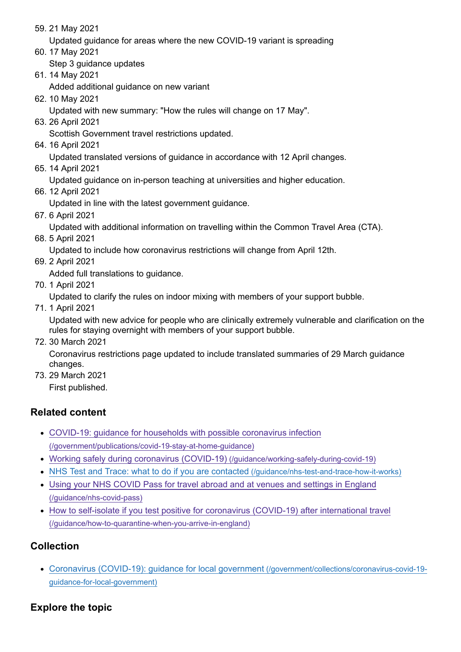59. 21 May 2021

Updated guidance for areas where the new COVID-19 variant is spreading

60. 17 May 2021

Step 3 guidance updates

61. 14 May 2021

Added additional guidance on new variant

62. 10 May 2021

Updated with new summary: "How the rules will change on 17 May".

63. 26 April 2021

Scottish Government travel restrictions updated.

64. 16 April 2021

Updated translated versions of guidance in accordance with 12 April changes.

65. 14 April 2021

Updated guidance on in-person teaching at universities and higher education.

66. 12 April 2021

Updated in line with the latest government guidance.

67. 6 April 2021

Updated with additional information on travelling within the Common Travel Area (CTA).

68. 5 April 2021

Updated to include how coronavirus restrictions will change from April 12th.

69. 2 April 2021

Added full translations to guidance.

70. 1 April 2021

Updated to clarify the rules on indoor mixing with members of your support bubble.

71. 1 April 2021

Updated with new advice for people who are clinically extremely vulnerable and clarification on the rules for staying overnight with members of your support bubble.

72. 30 March 2021

Coronavirus restrictions page updated to include translated summaries of 29 March guidance changes.

73. 29 March 2021 First published.

# **Related content**

- [COVID-19: guidance for households with possible coronavirus infection](https://www.gov.uk/government/publications/covid-19-stay-at-home-guidance) (/government/publications/covid-19-stay-at-home-guidance)
- [Working safely during coronavirus \(COVID-19\)](https://www.gov.uk/guidance/working-safely-during-covid-19) (/guidance/working-safely-during-covid-19)
- [NHS Test and Trace: what to do if you are contacted](https://www.gov.uk/guidance/nhs-test-and-trace-how-it-works) (/guidance/nhs-test-and-trace-how-it-works)
- [Using your NHS COVID Pass for travel abroad and at venues and settings in England](https://www.gov.uk/guidance/nhs-covid-pass) (/guidance/nhs-covid-pass)
- [How to self-isolate if you test positive for coronavirus \(COVID-19\) after international travel](https://www.gov.uk/guidance/how-to-quarantine-when-you-arrive-in-england) (/guidance/how-to-quarantine-when-you-arrive-in-england)

# **Collection**

[Coronavirus \(COVID-19\): guidance for local government](https://www.gov.uk/government/collections/coronavirus-covid-19-guidance-for-local-government) (/government/collections/coronavirus-covid-19 guidance-for-local-government)

# **Explore the topic**